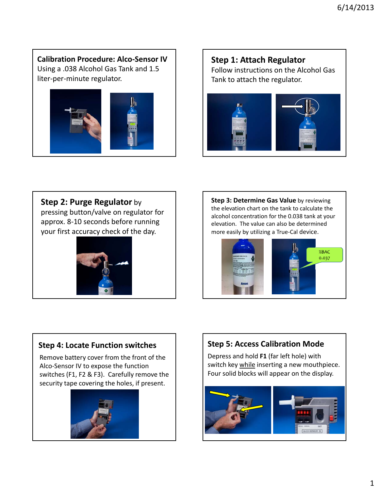**Calibration Procedure: Alco‐Sensor IV** Using a .038 Alcohol Gas Tank and 1.5 liter‐per‐minute regulator.



# **Step 1: Attach Regulator** Follow instructions on the Alcohol Gas Tank to attach the regulator.



**Step 2: Purge Regulator** by

pressing button/valve on regulator for approx. 8‐10 seconds before running your first accuracy check of the day.



**Step 3: Determine Gas Value** by reviewing the elevation chart on the tank to calculate the alcohol concentration for the 0.038 tank at your elevation. The value can also be determined more easily by utilizing a True‐Cal device.



## **Step 4: Locate Function switches**

Remove battery cover from the front of the Alco‐Sensor IV to expose the function switches (F1, F2 & F3). Carefully remove the security tape covering the holes, if present.



# **Step 5: Access Calibration Mode**

Depress and hold **F1** (far left hole) with switch key while inserting a new mouthpiece. Four solid blocks will appear on the display.

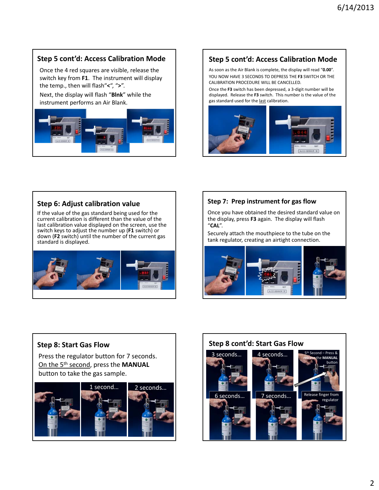## **Step 5 cont'd: Access Calibration Mode**

Once the 4 red squares are visible, release the switch key from **F1**. The instrument will display the temp., then will flash"**<**", "**>**".

Next, the display will flash "**Blnk**" while the instrument performs an Air Blank.



## **Step 5 cont'd: Access Calibration Mode**

As soon as the Air Blank is complete, the display will read "**0.00**". YOU NOW HAVE 3 SECONDS TO DEPRESS THE **F3** SWITCH OR THE CALIBRATION PROCEDURE WILL BE CANCELLED.

Once the **F3** switch has been depressed, a 3‐digit number will be displayed. Release the **F3** switch. This number is the value of the gas standard used for the last calibration.



#### **Step 6: Adjust calibration value**

If the value of the gas standard being used for the current calibration is different than the value of the last calibration value displayed on the screen, use the switch keys to adjust the number up (**F1** switch) or down (**F2** switch) until the number of the current gas standard is displayed.



#### **Step 7: Prep instrument for gas flow**

Once you have obtained the desired standard value on the display, press **F3** again. The display will flash "**CAL**".

Securely attach the mouthpiece to the tube on the tank regulator, creating an airtight connection.



#### **Step 8: Start Gas Flow**

Press the regulator button for 7 seconds. On the 5th second, press the **MANUAL** button to take the gas sample.